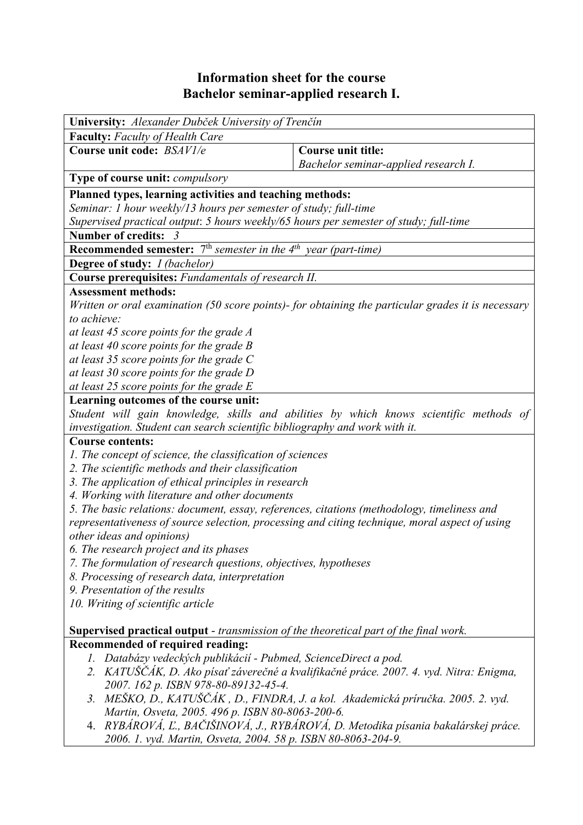## **Information sheet for the course Bachelor seminar-applied research I.**

| University: Alexander Dubček University of Trenčín                                                 |                                                                                        |  |  |  |  |
|----------------------------------------------------------------------------------------------------|----------------------------------------------------------------------------------------|--|--|--|--|
| <b>Faculty:</b> Faculty of Health Care                                                             |                                                                                        |  |  |  |  |
| Course unit code: BSAV1/e                                                                          | <b>Course unit title:</b>                                                              |  |  |  |  |
|                                                                                                    | Bachelor seminar-applied research I.                                                   |  |  |  |  |
| <b>Type of course unit:</b> <i>compulsory</i>                                                      |                                                                                        |  |  |  |  |
| Planned types, learning activities and teaching methods:                                           |                                                                                        |  |  |  |  |
| Seminar: 1 hour weekly/13 hours per semester of study; full-time                                   |                                                                                        |  |  |  |  |
| Supervised practical output: 5 hours weekly/65 hours per semester of study; full-time              |                                                                                        |  |  |  |  |
| Number of credits: 3                                                                               |                                                                                        |  |  |  |  |
| <b>Recommended semester:</b> $7th$ semester in the $4th$ year (part-time)                          |                                                                                        |  |  |  |  |
| Degree of study: <i>I (bachelor)</i>                                                               |                                                                                        |  |  |  |  |
| Course prerequisites: Fundamentals of research II.                                                 |                                                                                        |  |  |  |  |
| <b>Assessment methods:</b>                                                                         |                                                                                        |  |  |  |  |
| Written or oral examination (50 score points)- for obtaining the particular grades it is necessary |                                                                                        |  |  |  |  |
| to achieve:                                                                                        |                                                                                        |  |  |  |  |
| at least 45 score points for the grade A                                                           |                                                                                        |  |  |  |  |
| at least 40 score points for the grade $B$                                                         |                                                                                        |  |  |  |  |
| at least 35 score points for the grade $C$                                                         |                                                                                        |  |  |  |  |
| at least 30 score points for the grade D<br>at least 25 score points for the grade $E$             |                                                                                        |  |  |  |  |
| Learning outcomes of the course unit:                                                              |                                                                                        |  |  |  |  |
|                                                                                                    | Student will gain knowledge, skills and abilities by which knows scientific methods of |  |  |  |  |
| investigation. Student can search scientific bibliography and work with it.                        |                                                                                        |  |  |  |  |
| <b>Course contents:</b>                                                                            |                                                                                        |  |  |  |  |
| 1. The concept of science, the classification of sciences                                          |                                                                                        |  |  |  |  |
| 2. The scientific methods and their classification                                                 |                                                                                        |  |  |  |  |
| 3. The application of ethical principles in research                                               |                                                                                        |  |  |  |  |
| 4. Working with literature and other documents                                                     |                                                                                        |  |  |  |  |
| 5. The basic relations: document, essay, references, citations (methodology, timeliness and        |                                                                                        |  |  |  |  |
| representativeness of source selection, processing and citing technique, moral aspect of using     |                                                                                        |  |  |  |  |
| other ideas and opinions)                                                                          |                                                                                        |  |  |  |  |
| 6. The research project and its phases                                                             |                                                                                        |  |  |  |  |
| 7. The formulation of research questions, objectives, hypotheses                                   |                                                                                        |  |  |  |  |
| 8. Processing of research data, interpretation                                                     |                                                                                        |  |  |  |  |
| 9. Presentation of the results<br>10. Writing of scientific article                                |                                                                                        |  |  |  |  |
|                                                                                                    |                                                                                        |  |  |  |  |
| <b>Supervised practical output</b> - transmission of the theoretical part of the final work.       |                                                                                        |  |  |  |  |
| Recommended of required reading:                                                                   |                                                                                        |  |  |  |  |
| Databázy vedeckých publikácií - Pubmed, ScienceDirect a pod.<br>Ι.                                 |                                                                                        |  |  |  |  |
|                                                                                                    | 2. KATUŠČÁK, D. Ako písať záverečné a kvalifikačné práce. 2007. 4. vyd. Nitra: Enigma, |  |  |  |  |
| 2007. 162 p. ISBN 978-80-89132-45-4.                                                               |                                                                                        |  |  |  |  |
| MEŠKO, D., KATUŠČÁK, D., FINDRA, J. a kol. Akademická príručka. 2005. 2. vyd.<br>3.                |                                                                                        |  |  |  |  |
| Martin, Osveta, 2005. 496 p. ISBN 80-8063-200-6.                                                   |                                                                                        |  |  |  |  |
|                                                                                                    | 4. RYBÁROVÁ, Ľ., BAČIŠINOVÁ, J., RYBÁROVÁ, D. Metodika písania bakalárskej práce.      |  |  |  |  |
| 2006. 1. vyd. Martin, Osveta, 2004. 58 p. ISBN 80-8063-204-9.                                      |                                                                                        |  |  |  |  |